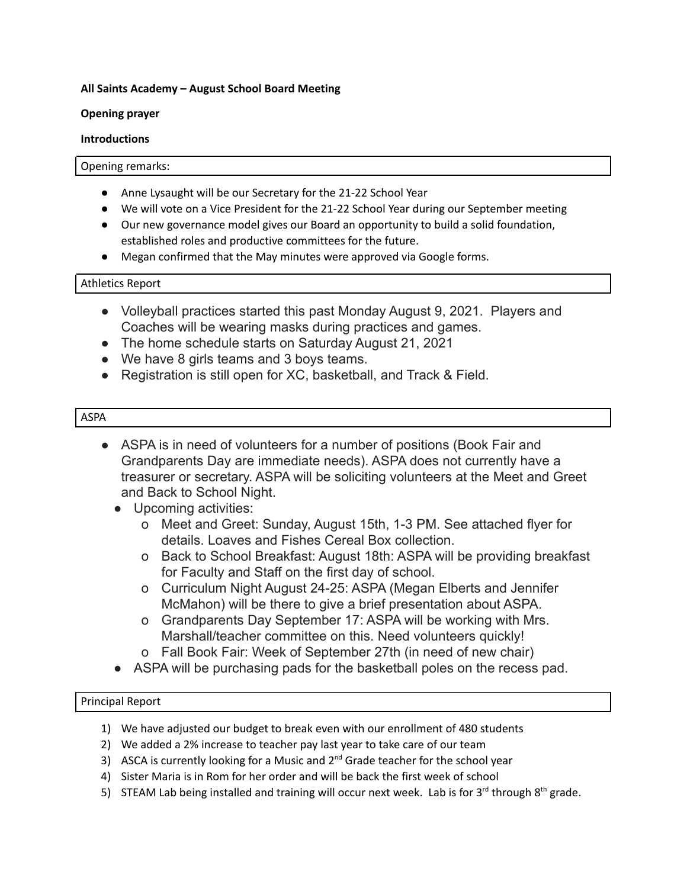## **All Saints Academy – August School Board Meeting**

## **Opening prayer**

## **Introductions**

#### Opening remarks:

- Anne Lysaught will be our Secretary for the 21-22 School Year
- We will vote on a Vice President for the 21-22 School Year during our September meeting
- Our new governance model gives our Board an opportunity to build a solid foundation, established roles and productive committees for the future.
- Megan confirmed that the May minutes were approved via Google forms.

## Athletics Report

- Volleyball practices started this past Monday August 9, 2021. Players and Coaches will be wearing masks during practices and games.
- The home schedule starts on Saturday August 21, 2021
- We have 8 girls teams and 3 boys teams.
- Registration is still open for XC, basketball, and Track & Field.

## ASPA

- ASPA is in need of volunteers for a number of positions (Book Fair and Grandparents Day are immediate needs). ASPA does not currently have a treasurer or secretary. ASPA will be soliciting volunteers at the Meet and Greet and Back to School Night.
	- Upcoming activities:
		- o Meet and Greet: Sunday, August 15th, 1-3 PM. See attached flyer for details. Loaves and Fishes Cereal Box collection.
		- o Back to School Breakfast: August 18th: ASPA will be providing breakfast for Faculty and Staff on the first day of school.
		- o Curriculum Night August 24-25: ASPA (Megan Elberts and Jennifer McMahon) will be there to give a brief presentation about ASPA.
		- o Grandparents Day September 17: ASPA will be working with Mrs. Marshall/teacher committee on this. Need volunteers quickly!
		- o Fall Book Fair: Week of September 27th (in need of new chair)
	- ASPA will be purchasing pads for the basketball poles on the recess pad.

# Principal Report

- 1) We have adjusted our budget to break even with our enrollment of 480 students
- 2) We added a 2% increase to teacher pay last year to take care of our team
- 3) ASCA is currently looking for a Music and  $2^{nd}$  Grade teacher for the school year
- 4) Sister Maria is in Rom for her order and will be back the first week of school
- 5) STEAM Lab being installed and training will occur next week. Lab is for 3<sup>rd</sup> through 8<sup>th</sup> grade.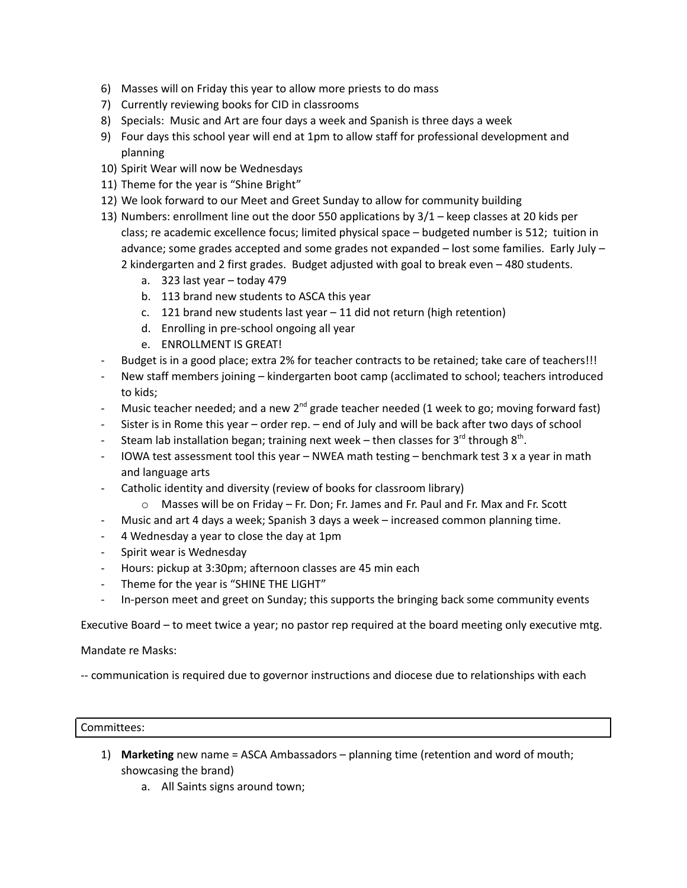- 6) Masses will on Friday this year to allow more priests to do mass
- 7) Currently reviewing books for CID in classrooms
- 8) Specials: Music and Art are four days a week and Spanish is three days a week
- 9) Four days this school year will end at 1pm to allow staff for professional development and planning
- 10) Spirit Wear will now be Wednesdays
- 11) Theme for the year is "Shine Bright"
- 12) We look forward to our Meet and Greet Sunday to allow for community building
- 13) Numbers: enrollment line out the door 550 applications by 3/1 keep classes at 20 kids per class; re academic excellence focus; limited physical space – budgeted number is 512; tuition in advance; some grades accepted and some grades not expanded – lost some families. Early July – 2 kindergarten and 2 first grades. Budget adjusted with goal to break even – 480 students.
	- a. 323 last year today 479
	- b. 113 brand new students to ASCA this year
	- c. 121 brand new students last year 11 did not return (high retention)
	- d. Enrolling in pre-school ongoing all year
	- e. ENROLLMENT IS GREAT!
- Budget is in a good place; extra 2% for teacher contracts to be retained; take care of teachers!!!
- New staff members joining kindergarten boot camp (acclimated to school; teachers introduced to kids;
- Music teacher needed; and a new 2<sup>nd</sup> grade teacher needed (1 week to go; moving forward fast)
- Sister is in Rome this year order rep. end of July and will be back after two days of school
- Steam lab installation began; training next week then classes for 3<sup>rd</sup> through 8<sup>th</sup>.
- IOWA test assessment tool this year NWEA math testing benchmark test 3 x a year in math and language arts
- Catholic identity and diversity (review of books for classroom library)
	- $\circ$  Masses will be on Friday Fr. Don; Fr. James and Fr. Paul and Fr. Max and Fr. Scott
- Music and art 4 days a week; Spanish 3 days a week increased common planning time.
- 4 Wednesday a year to close the day at 1pm
- Spirit wear is Wednesday
- Hours: pickup at 3:30pm; afternoon classes are 45 min each
- Theme for the year is "SHINE THE LIGHT"
- In-person meet and greet on Sunday; this supports the bringing back some community events

Executive Board – to meet twice a year; no pastor rep required at the board meeting only executive mtg.

Mandate re Masks:

-- communication is required due to governor instructions and diocese due to relationships with each

#### Committees:

- 1) **Marketing** new name = ASCA Ambassadors planning time (retention and word of mouth; showcasing the brand)
	- a. All Saints signs around town;